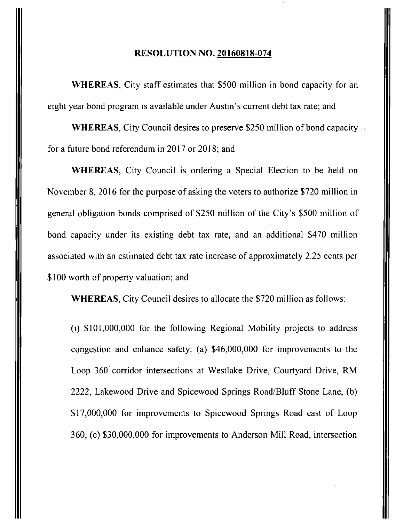## **RESOLUTION NO. 20160818-074**

WHEREAS, City staff estimates that \$500 million in bond capacity for an eight year bond program is available under Austin's current debt tax rate; and

WHEREAS, City Council desires to preserve \$250 million of bond capacity. for a future bond referendum in 2017 or 2018; and

WHEREAS, City Council is ordering a Special Election to be held on November 8, 2016 for the purpose of asking the voters to authorize \$720 million in general obligation bonds comprised of \$250 million of the City's \$500 million of bond capacity under its existing debt tax rate, and an additional \$470 million associated with an estimated debt tax rate increase of approximately 2.25 cents per \$100 worth of property valuation; and

WHEREAS, City Council desires to allocate the \$720 million as follows:

(i) \$101,000,000 for the following Regional Mobility projects to address congestion and enhance safety: (a) \$46,000,000 for improvements to the Loop 360 corridor intersections at Westlake Drive, Courtyard Drive, RM 2222, Lakewood Drive and Spicewood Springs Road/Bluff Stone Lane, (b) \$17,000,000 for improvements to Spicewood Springs Road east of Loop 360, (c) \$30,000,000 for improvements to Anderson Mill Road, intersection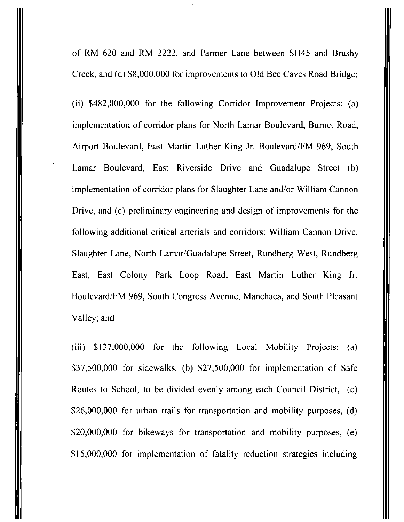of RM 620 and RM 2222, and Parmer Lane between SH45 and Brushy Creek, and (d) \$8,000,000 for improvements to Old Bee Caves Road Bridge;

(ii) \$482,000,000 for the following Corridor Improvement Projects: (a) implementation of corridor plans for North Lamar Boulevard, Burnet Road, Airport Boulevard, East Martin Luther King Jr. Boulevard/FM 969, South Lamar Boulevard, East Riverside Drive and Guadalupe Street (b) implementation of corridor plans for Slaughter Lane and/or William Cannon Drive, and (c) preliminary engineering and design of improvements for the following additional critical arterials and corridors: William Cannon Drive, Slaughter Lane, North Lamar/Guadalupe Street, Rundberg West, Rundberg East, East Colony Park Loop Road, East Martin Luther King Jr. Boulevard/FM 969, South Congress Avenue, Manchaca, and South Pleasant Valley; and

(iii) \$137,000,000 for the following Local Mobility Projects; (a) \$37,500,000 for sidewalks, (b) \$27,500,000 for implementation of Safe Routes to School, to be divided evenly among each Council District, (c) \$26,000,000 for urban trails for transportation and mobility purposes, (d) \$20,000,000 for bikeways for transportation and mobility purposes, (e) \$15,000,000 for implementation of fatality reduction strategies including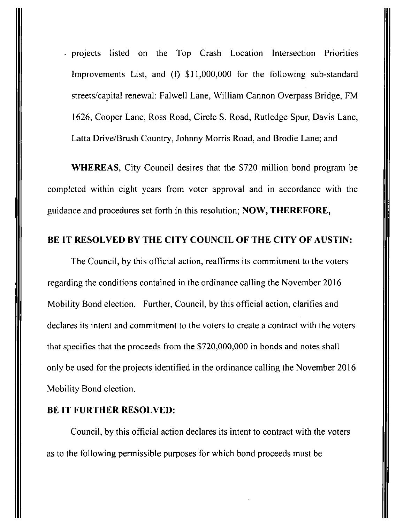• projects listed on the Top Crash Location Intersection Priorities Improvements List, and (f) \$11,000,000 for the following sub-standard streets/capital renewal: Falwell Lane, William Cannon Overpass Bridge, FM 1626, Cooper Lane, Ross Road, Circle S. Road, Rutledge Spur, Davis Lane, Latta Drive/Brush Country, Johnny Morris Road, and Brodie Lane; and

**WHEREAS, City Council desires that the \$720 million bond program be completed within eight years from voter approval and in accordance with the guidance and procedures set forth in this resolution; NOW, THEREFORE,** 

## **BE IT RESOLVED BY THE CITY COUNCIL OF THE CITY OF AUSTIN:**

**The Council, by this official action, reaffirms its commitment to the voters regarding the conditions contained in the ordinance calling the November 2016 Mobility Bond election. Further, Council, by this official action, clarifies and declares its intent and commitment to the voters to create a contract with the voters that specifies that the proceeds from the \$720,000,000 in bonds and notes shall only be used for the projects identified in the ordinance calling the November 2016 Mobility Bond election.** 

## **BE IT FURTHER RESOLVED:**

Council, by this official action declares its intent to contract with the voters as to the following permissible purposes for which bond proceeds must be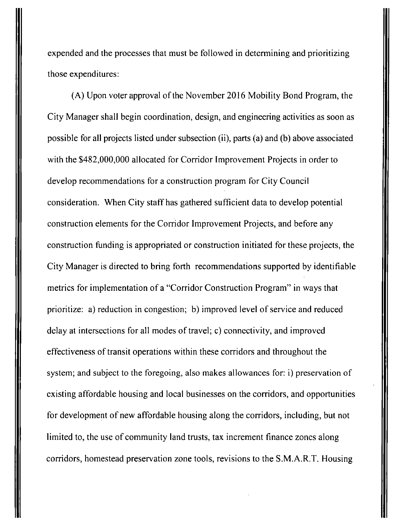expended and the processes that must be followed in determining and prioritizing those expenditures:

(A) Upon voter approval of the November 2016 Mobility Bond Program, the City Manager shall begin coordination, design, and engineering activities as soon as possible for all projects listed under subsection (ii), parts (a) and (b) above associated with the \$482,000,000 allocated for Corridor Improvement Projects in order to develop recommendations for a construction program for City Council consideration. When City staff has gathered sufficient data to develop potential construction elements for the Corridor Improvement Projects, and before any construction funding is appropriated or construction initiated for these projects, the City Manager is directed to bring forth recommendations supported by identifiable metrics for implementation of a "Corridor Construction Program" in ways that prioritize: a) reduction in congestion; b) improved level of service and reduced delay at intersections for all modes of travel; c) connectivity, and improved effectiveness of transit operations within these corridors and throughout the system; and subject to the foregoing, also makes allowances for: i) preservation of existing affordable housing and local businesses on the corridors, and opportunities for development of new affordable housing along the corridors, including, but not limited to, the use of community land trusts, tax increment finance zones along corridors, homestead preservation zone tools, revisions to the S.M.A.R.T. Housing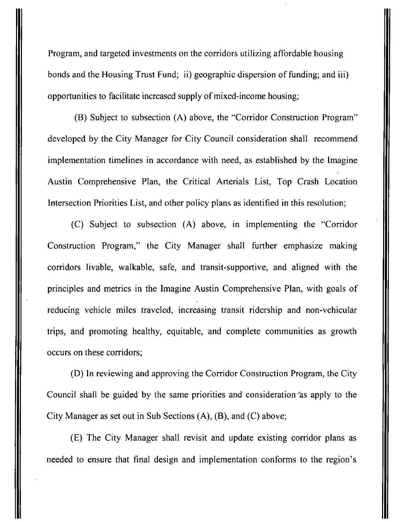Program, and targeted investments on the corridors utilizing affordable housing bonds and the Housing Trust Fund; ii) geographic dispersion of funding; and iii) opportunities to facilitate increased supply of mixed-income housing;

(B) Subject to subsection (A) above, the "Corridor Construction Program" developed by the City Manager for City Council consideration shall recommend implementation timelines in accordance with need, as established by the Imagine Austin Comprehensive Plan, the Critical Arterials List, Top Crash Location Intersection Priorities List, and other policy plans as identified in this resolution;

(C) Subject to subsection (A) above, in implementing the "Corridor Construction Program," the City Manager shall further emphasize making corridors livable, walkable, safe, and transit-supportive, and aligned with the principles and metrics in the Imagine Austin Comprehensive Plan, with goals of reducing vehicle miles traveled, increasing transit ridership and non-vehicular trips, and promoting healthy, equitable, and complete communities as growth occurs on these corridors;

(D) In reviewing and approving the Corridor Construction Program, the City Council shall be guided by the same priorities and consideration''as apply to the City Manager as set out in Sub Sections (A), (B), and (C) above;

(E) The City Manager shall revisit and update existing corridor plans as needed to ensure that final design and implementation conforms to the region's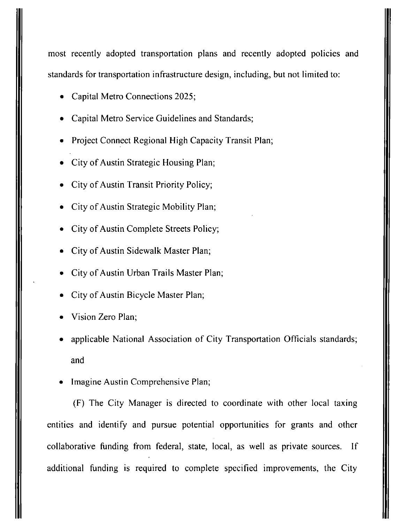most recently adopted transportation plans and recently adopted policies and standards for transportation infrastructure design, including, but not limited to:

- Capital Metro Connections 2025;
- Capital Metro Service Guidelines and Standards;
- Project Connect Regional High Capacity Transit Plan;
- City of Austin Strategic Housing Plan;
- City of Austin Transit Priority Policy;
- City of Austin Strategic Mobility Plan;
- City of Austin Complete Streets Policy;
- City of Austin Sidewalk Master Plan;
- City of Austin Urban Trails Master Plan;
- City of Austin Bicycle Master Plan;
- Vision Zero Plan;
- applicable National Association of City Transportation Officials standards; and
- Imagine Austin Comprehensive Plan;

(F) The City Manager is directed to coordinate with other local taxing entities and identify and pursue potential opportunities for grants and other collaborative funding from federal, state, local, as well as private sources. If additional funding is required to complete specified improvements, the City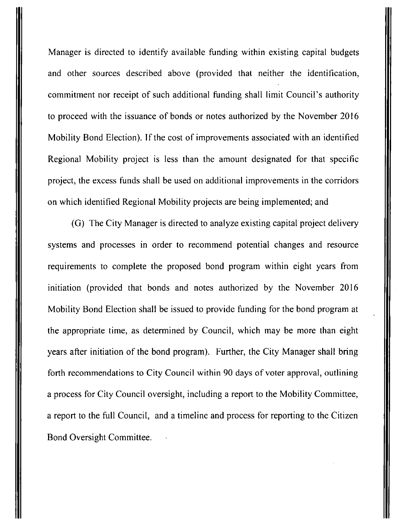Manager is directed to identify available funding within existing capital budgets and other sources described above (provided that neither the identification, commitment nor receipt of such additional funding shall limit Council's authority to proceed with the issuance of bonds or notes authorized by the November 2016 Mobility Bond Election). If the cost of improvements associated with an identified Regional Mobility project is less than the amount designated for that specific project, the excess funds shall be used on additional improvements in the corridors on which identified Regional Mobility projects are being implemented; and

(G) The City Manager is directed to analyze existing capital project delivery systems and processes in order to recommend potential changes and resource requirements to complete the proposed bond program within eight years from initiation (provided that bonds and notes authorized by the November 2016 Mobility Bond Election shall be issued to provide funding for the bond program at the appropriate time, as determined by Council, which may be more than eight years after initiation of the bond program). Further, the City Manager shall bring forth recommendations to City Council within 90 days of voter approval, outlining a process for City Council oversight, including a report to the Mobility Committee, a report to the fiill Council, and a timeline and process for reporting to the Citizen Bond Oversight Committee.